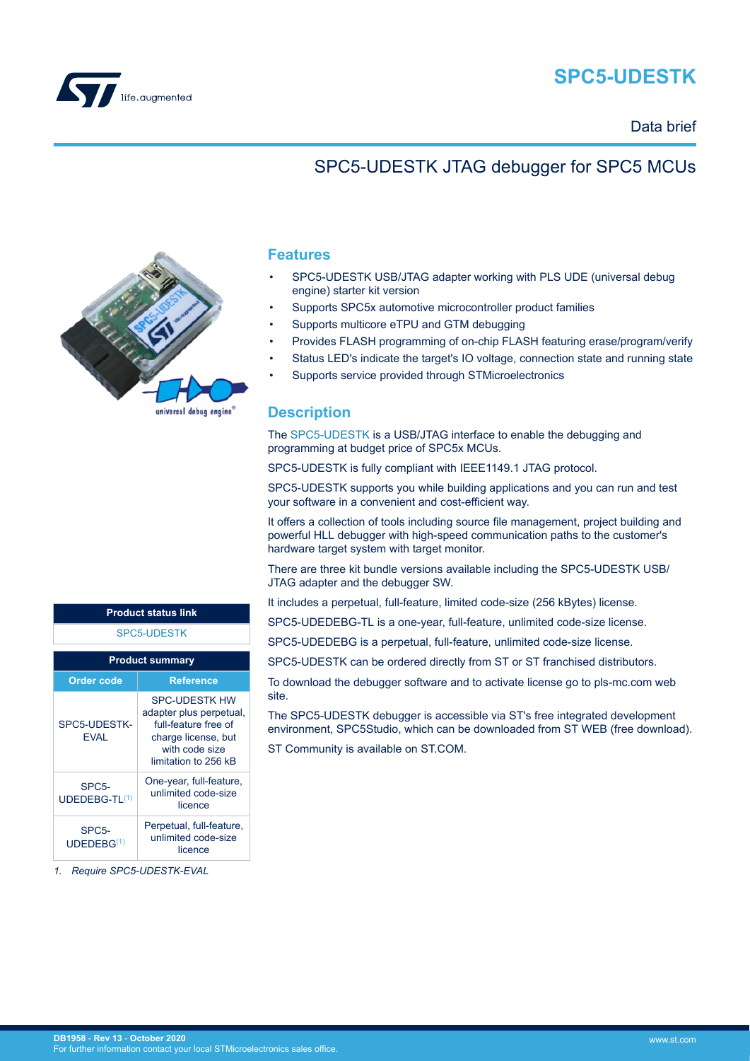

# **SPC5-UDESTK**

Data brief

### SPC5-UDESTK JTAG debugger for SPC5 MCUs



#### **Features**

- SPC5-UDESTK USB/JTAG adapter working with PLS UDE (universal debug engine) starter kit version
- Supports SPC5x automotive microcontroller product families
- Supports multicore eTPU and GTM debugging
- Provides FLASH programming of on-chip FLASH featuring erase/program/verify
- Status LED's indicate the target's IO voltage, connection state and running state
- Supports service provided through STMicroelectronics

#### **Description**

The [SPC5-UDESTK](https://www.st.com/en/product/spc5-udestk?ecmp=tt9470_gl_link_feb2019&rt=db&id=DB1958) is a USB/JTAG interface to enable the debugging and programming at budget price of SPC5x MCUs.

SPC5-UDESTK is fully compliant with IEEE1149.1 JTAG protocol.

SPC5-UDESTK supports you while building applications and you can run and test your software in a convenient and cost-efficient way.

It offers a collection of tools including source file management, project building and powerful HLL debugger with high-speed communication paths to the customer's hardware target system with target monitor.

There are three kit bundle versions available including the SPC5-UDESTK USB/ JTAG adapter and the debugger SW.

It includes a perpetual, full-feature, limited code-size (256 kBytes) license.

SPC5-UDEDEBG-TL is a one-year, full-feature, unlimited code-size license.

SPC5-UDEDEBG is a perpetual, full-feature, unlimited code-size license.

SPC5-UDESTK can be ordered directly from ST or ST franchised distributors.

To download the debugger software and to activate license go to pls-mc.com web site.

The SPC5-UDESTK debugger is accessible via ST's free integrated development environment, SPC5Studio, which can be downloaded from ST WEB (free download).

ST Community is available on ST.COM.

| <b>SPC5-UDESTK</b><br><b>Product summary</b> |                                                                                                                                          |  |  |  |
|----------------------------------------------|------------------------------------------------------------------------------------------------------------------------------------------|--|--|--|
|                                              |                                                                                                                                          |  |  |  |
| SPC5-UDESTK-<br><b>FVAI</b>                  | <b>SPC-UDESTK HW</b><br>adapter plus perpetual,<br>full-feature free of<br>charge license, but<br>with code size<br>limitation to 256 kB |  |  |  |
| SPC5-                                        | One-year, full-feature,                                                                                                                  |  |  |  |

**Product status link**

|  | UDEDEBG-TL(1)                                | unlimited code-size<br>licence                             |
|--|----------------------------------------------|------------------------------------------------------------|
|  | SPC <sub>5</sub> -<br>UDEDEBG <sup>(1)</sup> | Perpetual, full-feature,<br>unlimited code-size<br>licence |

*1. Require SPC5-UDESTK-EVAL*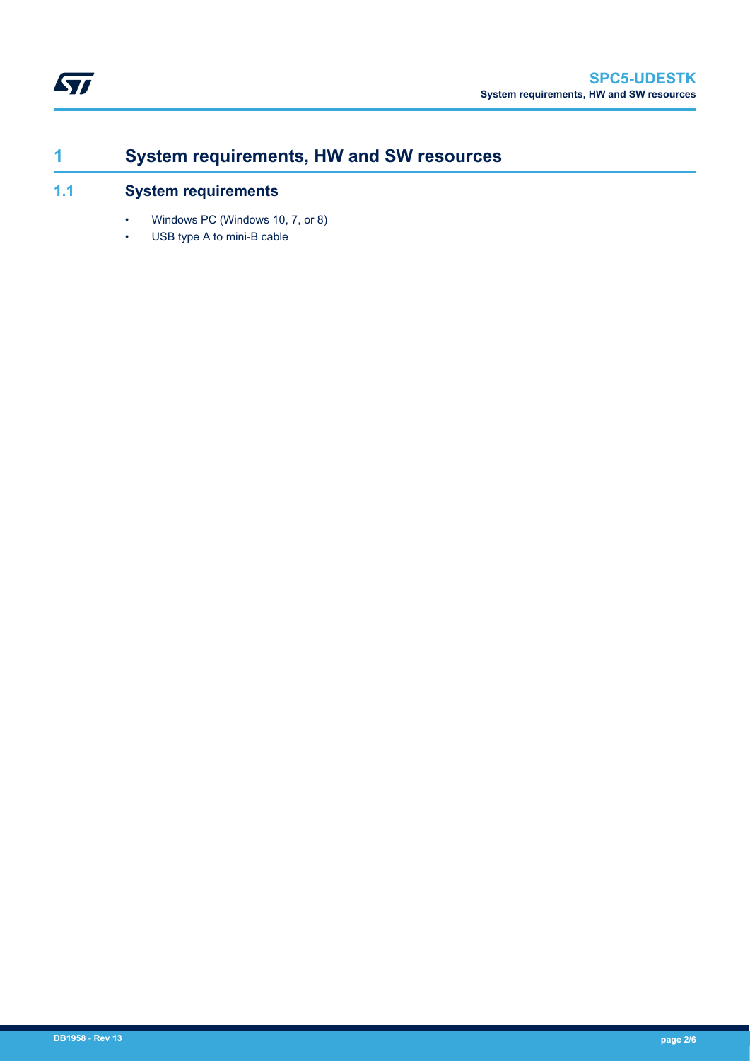## <span id="page-1-0"></span>**1 System requirements, HW and SW resources**

#### **1.1 System requirements**

- Windows PC (Windows 10, 7, or 8)
- USB type A to mini-B cable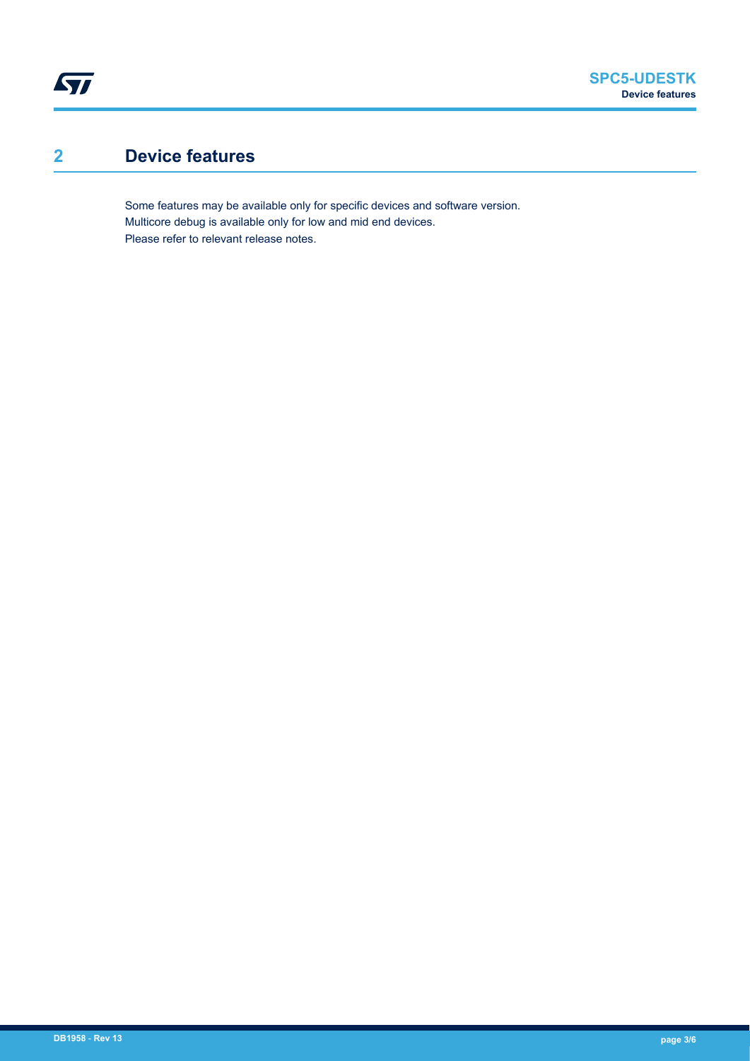## **2 Device features**

<span id="page-2-0"></span> $\sqrt{2}$ 

Some features may be available only for specific devices and software version. Multicore debug is available only for low and mid end devices. Please refer to relevant release notes.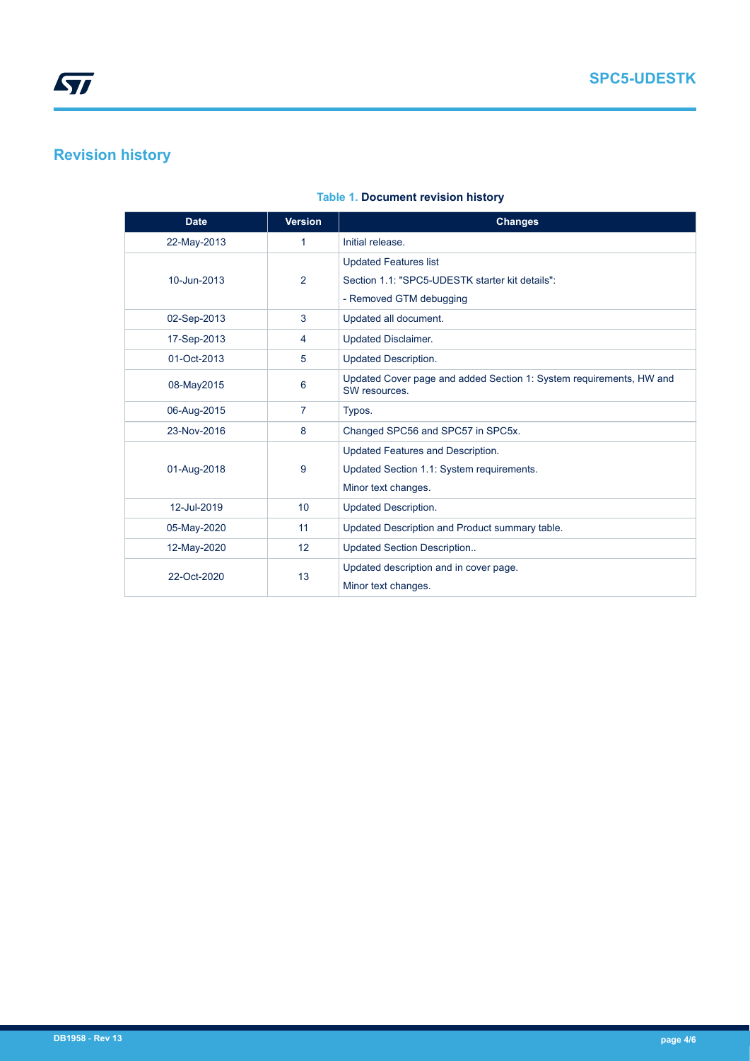## <span id="page-3-0"></span>**Revision history**

| <b>Date</b> | <b>Version</b>  | <b>Changes</b>                                                                       |
|-------------|-----------------|--------------------------------------------------------------------------------------|
| 22-May-2013 | $\mathbf{1}$    | Initial release.                                                                     |
|             |                 | <b>Updated Features list</b>                                                         |
| 10-Jun-2013 | 2               | Section 1.1: "SPC5-UDESTK starter kit details":                                      |
|             |                 | - Removed GTM debugging                                                              |
| 02-Sep-2013 | 3               | Updated all document.                                                                |
| 17-Sep-2013 | 4               | <b>Updated Disclaimer.</b>                                                           |
| 01-Oct-2013 | 5               | <b>Updated Description.</b>                                                          |
| 08-May2015  | 6               | Updated Cover page and added Section 1: System requirements, HW and<br>SW resources. |
| 06-Aug-2015 | $\overline{7}$  | Typos.                                                                               |
| 23-Nov-2016 | 8               | Changed SPC56 and SPC57 in SPC5x.                                                    |
|             |                 | Updated Features and Description.                                                    |
| 01-Aug-2018 | 9               | Updated Section 1.1: System requirements.                                            |
|             |                 | Minor text changes.                                                                  |
| 12-Jul-2019 | 10              | <b>Updated Description.</b>                                                          |
| 05-May-2020 | 11              | Updated Description and Product summary table.                                       |
| 12-May-2020 | 12 <sup>2</sup> | <b>Updated Section Description</b>                                                   |
| 22-Oct-2020 | 13              | Updated description and in cover page.                                               |
|             |                 | Minor text changes.                                                                  |

#### **Table 1. Document revision history**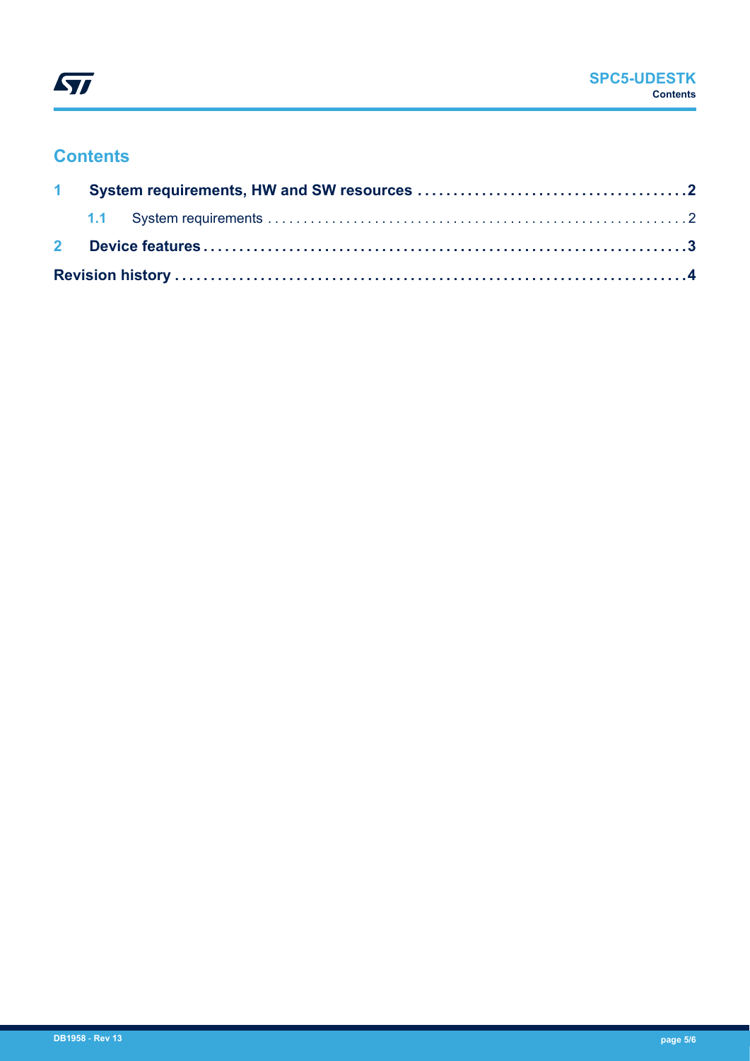

### **Contents**